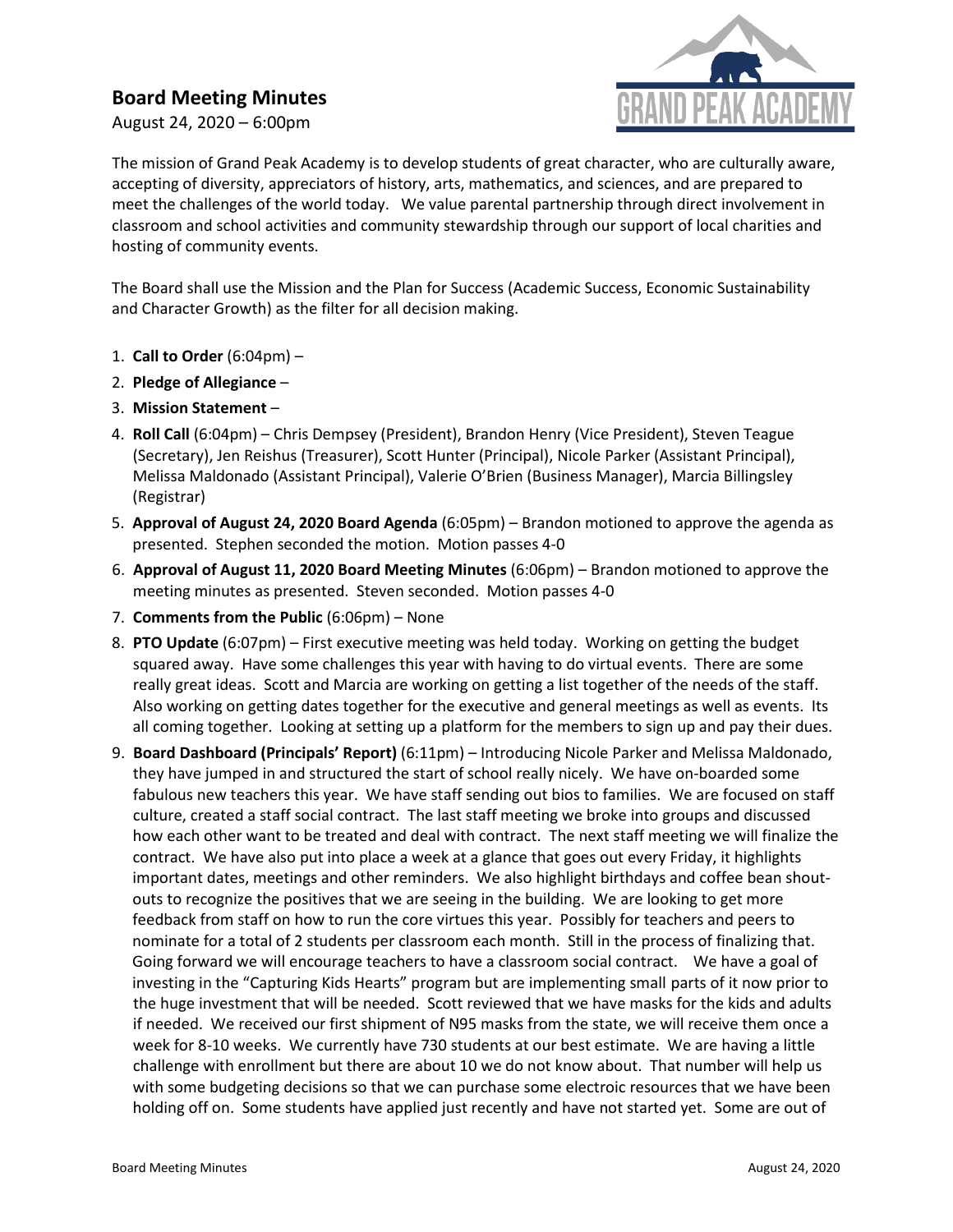## **Board Meeting Minutes**

August 24, 2020 – 6:00pm



The mission of Grand Peak Academy is to develop students of great character, who are culturally aware, accepting of diversity, appreciators of history, arts, mathematics, and sciences, and are prepared to meet the challenges of the world today. We value parental partnership through direct involvement in classroom and school activities and community stewardship through our support of local charities and hosting of community events.

The Board shall use the Mission and the Plan for Success (Academic Success, Economic Sustainability and Character Growth) as the filter for all decision making.

- 1. **Call to Order** (6:04pm) –
- 2. **Pledge of Allegiance** –
- 3. **Mission Statement** –
- 4. **Roll Call** (6:04pm) Chris Dempsey (President), Brandon Henry (Vice President), Steven Teague (Secretary), Jen Reishus (Treasurer), Scott Hunter (Principal), Nicole Parker (Assistant Principal), Melissa Maldonado (Assistant Principal), Valerie O'Brien (Business Manager), Marcia Billingsley (Registrar)
- 5. **Approval of August 24, 2020 Board Agenda** (6:05pm) Brandon motioned to approve the agenda as presented. Stephen seconded the motion. Motion passes 4-0
- 6. **Approval of August 11, 2020 Board Meeting Minutes** (6:06pm) Brandon motioned to approve the meeting minutes as presented. Steven seconded. Motion passes 4-0
- 7. **Comments from the Public** (6:06pm) None
- 8. **PTO Update** (6:07pm) First executive meeting was held today. Working on getting the budget squared away. Have some challenges this year with having to do virtual events. There are some really great ideas. Scott and Marcia are working on getting a list together of the needs of the staff. Also working on getting dates together for the executive and general meetings as well as events. Its all coming together. Looking at setting up a platform for the members to sign up and pay their dues.
- 9. **Board Dashboard (Principals' Report)** (6:11pm) Introducing Nicole Parker and Melissa Maldonado, they have jumped in and structured the start of school really nicely. We have on-boarded some fabulous new teachers this year. We have staff sending out bios to families. We are focused on staff culture, created a staff social contract. The last staff meeting we broke into groups and discussed how each other want to be treated and deal with contract. The next staff meeting we will finalize the contract. We have also put into place a week at a glance that goes out every Friday, it highlights important dates, meetings and other reminders. We also highlight birthdays and coffee bean shoutouts to recognize the positives that we are seeing in the building. We are looking to get more feedback from staff on how to run the core virtues this year. Possibly for teachers and peers to nominate for a total of 2 students per classroom each month. Still in the process of finalizing that. Going forward we will encourage teachers to have a classroom social contract. We have a goal of investing in the "Capturing Kids Hearts" program but are implementing small parts of it now prior to the huge investment that will be needed. Scott reviewed that we have masks for the kids and adults if needed. We received our first shipment of N95 masks from the state, we will receive them once a week for 8-10 weeks. We currently have 730 students at our best estimate. We are having a little challenge with enrollment but there are about 10 we do not know about. That number will help us with some budgeting decisions so that we can purchase some electroic resources that we have been holding off on. Some students have applied just recently and have not started yet. Some are out of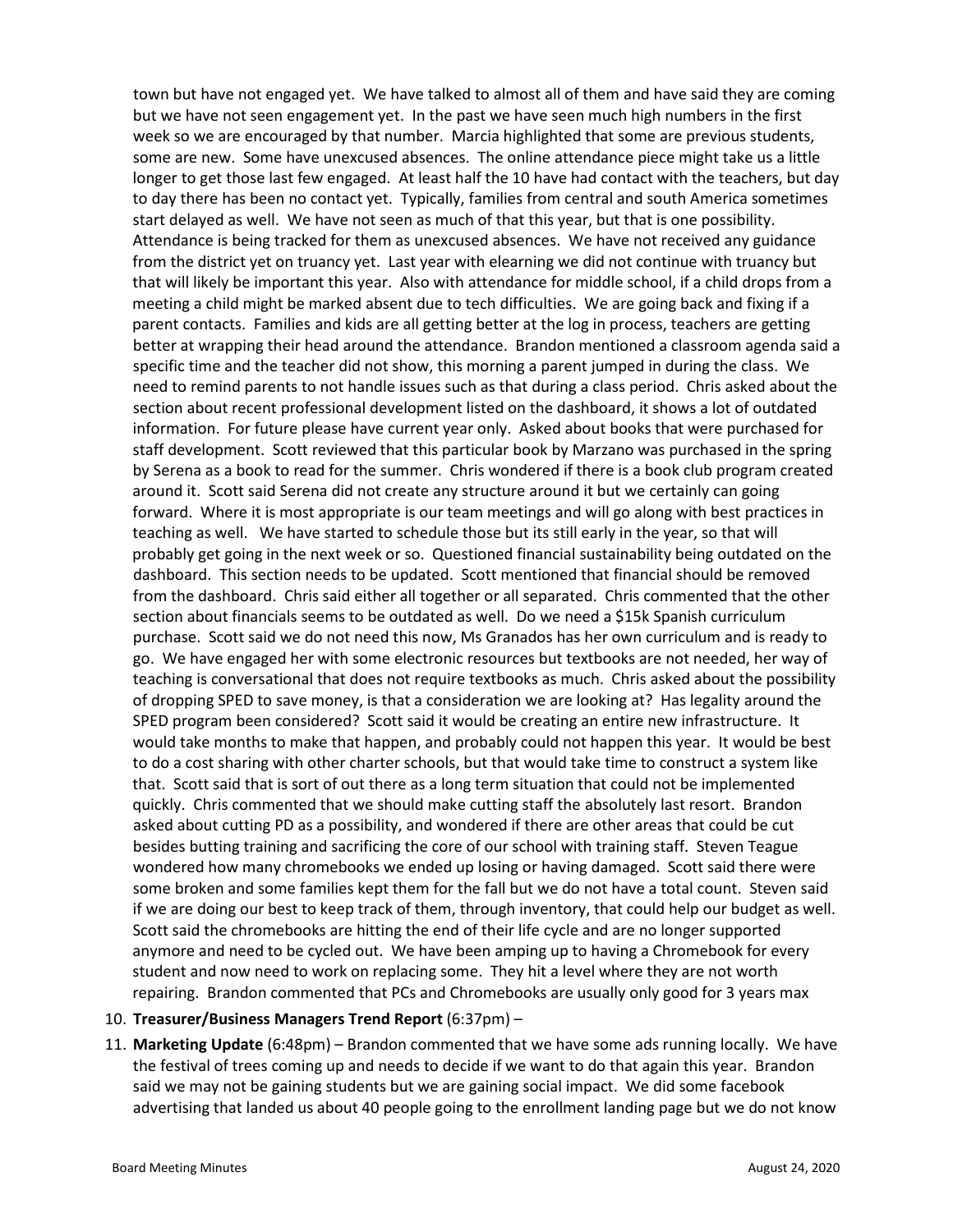town but have not engaged yet. We have talked to almost all of them and have said they are coming but we have not seen engagement yet. In the past we have seen much high numbers in the first week so we are encouraged by that number. Marcia highlighted that some are previous students, some are new. Some have unexcused absences. The online attendance piece might take us a little longer to get those last few engaged. At least half the 10 have had contact with the teachers, but day to day there has been no contact yet. Typically, families from central and south America sometimes start delayed as well. We have not seen as much of that this year, but that is one possibility. Attendance is being tracked for them as unexcused absences. We have not received any guidance from the district yet on truancy yet. Last year with elearning we did not continue with truancy but that will likely be important this year. Also with attendance for middle school, if a child drops from a meeting a child might be marked absent due to tech difficulties. We are going back and fixing if a parent contacts. Families and kids are all getting better at the log in process, teachers are getting better at wrapping their head around the attendance. Brandon mentioned a classroom agenda said a specific time and the teacher did not show, this morning a parent jumped in during the class. We need to remind parents to not handle issues such as that during a class period. Chris asked about the section about recent professional development listed on the dashboard, it shows a lot of outdated information. For future please have current year only. Asked about books that were purchased for staff development. Scott reviewed that this particular book by Marzano was purchased in the spring by Serena as a book to read for the summer. Chris wondered if there is a book club program created around it. Scott said Serena did not create any structure around it but we certainly can going forward. Where it is most appropriate is our team meetings and will go along with best practices in teaching as well. We have started to schedule those but its still early in the year, so that will probably get going in the next week or so. Questioned financial sustainability being outdated on the dashboard. This section needs to be updated. Scott mentioned that financial should be removed from the dashboard. Chris said either all together or all separated. Chris commented that the other section about financials seems to be outdated as well. Do we need a \$15k Spanish curriculum purchase. Scott said we do not need this now, Ms Granados has her own curriculum and is ready to go. We have engaged her with some electronic resources but textbooks are not needed, her way of teaching is conversational that does not require textbooks as much. Chris asked about the possibility of dropping SPED to save money, is that a consideration we are looking at? Has legality around the SPED program been considered? Scott said it would be creating an entire new infrastructure. It would take months to make that happen, and probably could not happen this year. It would be best to do a cost sharing with other charter schools, but that would take time to construct a system like that. Scott said that is sort of out there as a long term situation that could not be implemented quickly. Chris commented that we should make cutting staff the absolutely last resort. Brandon asked about cutting PD as a possibility, and wondered if there are other areas that could be cut besides butting training and sacrificing the core of our school with training staff. Steven Teague wondered how many chromebooks we ended up losing or having damaged. Scott said there were some broken and some families kept them for the fall but we do not have a total count. Steven said if we are doing our best to keep track of them, through inventory, that could help our budget as well. Scott said the chromebooks are hitting the end of their life cycle and are no longer supported anymore and need to be cycled out. We have been amping up to having a Chromebook for every student and now need to work on replacing some. They hit a level where they are not worth repairing. Brandon commented that PCs and Chromebooks are usually only good for 3 years max

## 10. **Treasurer/Business Managers Trend Report** (6:37pm) –

11. **Marketing Update** (6:48pm) – Brandon commented that we have some ads running locally. We have the festival of trees coming up and needs to decide if we want to do that again this year. Brandon said we may not be gaining students but we are gaining social impact. We did some facebook advertising that landed us about 40 people going to the enrollment landing page but we do not know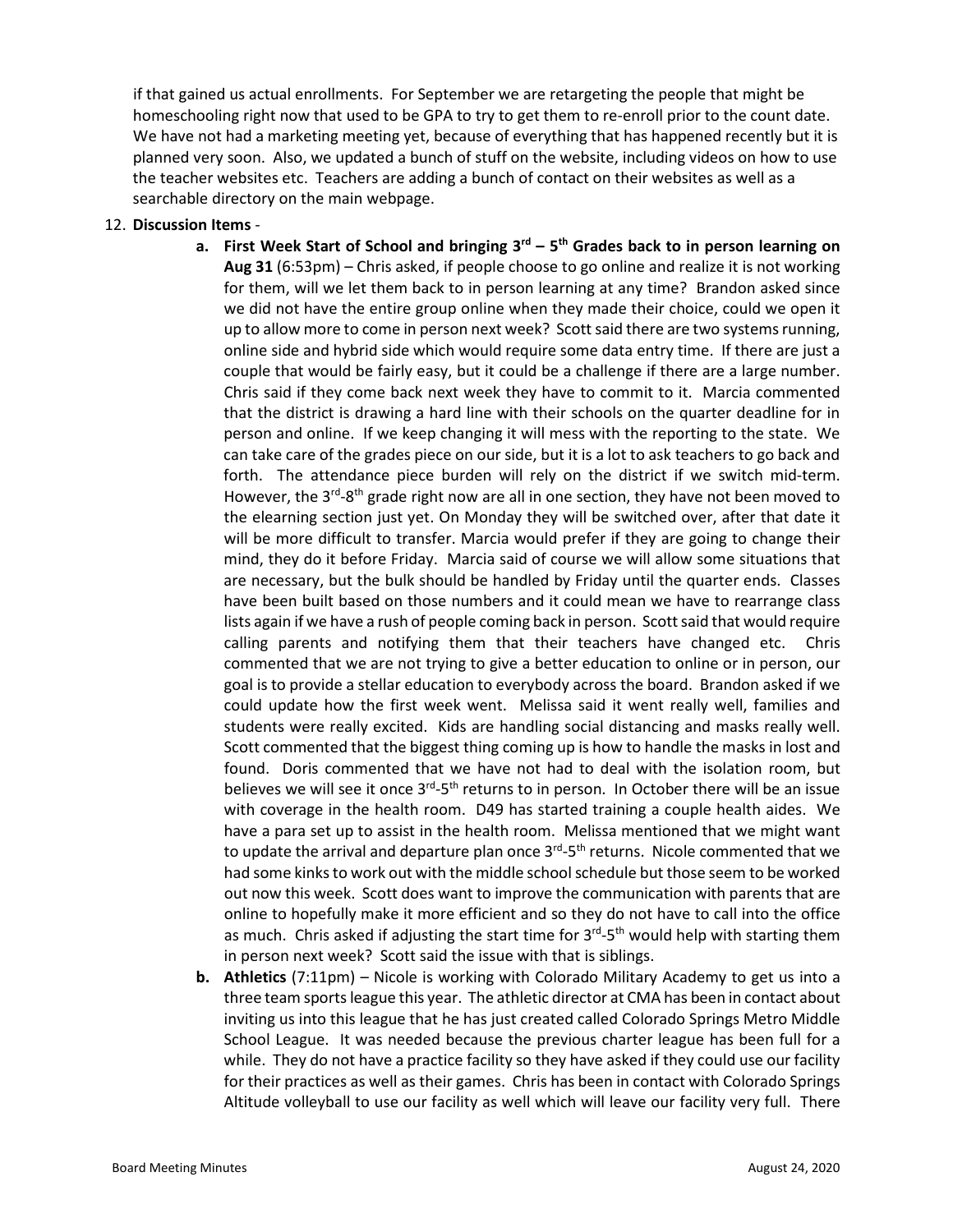if that gained us actual enrollments. For September we are retargeting the people that might be homeschooling right now that used to be GPA to try to get them to re-enroll prior to the count date. We have not had a marketing meeting yet, because of everything that has happened recently but it is planned very soon. Also, we updated a bunch of stuff on the website, including videos on how to use the teacher websites etc. Teachers are adding a bunch of contact on their websites as well as a searchable directory on the main webpage.

## 12. **Discussion Items** -

- **a. First Week Start of School and bringing 3rd – 5th Grades back to in person learning on Aug 31** (6:53pm) – Chris asked, if people choose to go online and realize it is not working for them, will we let them back to in person learning at any time? Brandon asked since we did not have the entire group online when they made their choice, could we open it up to allow more to come in person next week? Scott said there are two systems running, online side and hybrid side which would require some data entry time. If there are just a couple that would be fairly easy, but it could be a challenge if there are a large number. Chris said if they come back next week they have to commit to it. Marcia commented that the district is drawing a hard line with their schools on the quarter deadline for in person and online. If we keep changing it will mess with the reporting to the state. We can take care of the grades piece on our side, but it is a lot to ask teachers to go back and forth. The attendance piece burden will rely on the district if we switch mid-term. However, the  $3^{rd}$ -8<sup>th</sup> grade right now are all in one section, they have not been moved to the elearning section just yet. On Monday they will be switched over, after that date it will be more difficult to transfer. Marcia would prefer if they are going to change their mind, they do it before Friday. Marcia said of course we will allow some situations that are necessary, but the bulk should be handled by Friday until the quarter ends. Classes have been built based on those numbers and it could mean we have to rearrange class lists again if we have a rush of people coming back in person. Scott said that would require calling parents and notifying them that their teachers have changed etc. Chris commented that we are not trying to give a better education to online or in person, our goal is to provide a stellar education to everybody across the board. Brandon asked if we could update how the first week went. Melissa said it went really well, families and students were really excited. Kids are handling social distancing and masks really well. Scott commented that the biggest thing coming up is how to handle the masks in lost and found. Doris commented that we have not had to deal with the isolation room, but believes we will see it once  $3^{rd}$ -5<sup>th</sup> returns to in person. In October there will be an issue with coverage in the health room. D49 has started training a couple health aides. We have a para set up to assist in the health room. Melissa mentioned that we might want to update the arrival and departure plan once  $3^{rd}$ - $5^{th}$  returns. Nicole commented that we had some kinks to work out with the middle school schedule but those seem to be worked out now this week. Scott does want to improve the communication with parents that are online to hopefully make it more efficient and so they do not have to call into the office as much. Chris asked if adjusting the start time for  $3<sup>rd</sup> - 5<sup>th</sup>$  would help with starting them in person next week? Scott said the issue with that is siblings.
- **b. Athletics** (7:11pm) Nicole is working with Colorado Military Academy to get us into a three team sportsleague this year. The athletic director at CMA has been in contact about inviting us into this league that he has just created called Colorado Springs Metro Middle School League. It was needed because the previous charter league has been full for a while. They do not have a practice facility so they have asked if they could use our facility for their practices as well as their games. Chris has been in contact with Colorado Springs Altitude volleyball to use our facility as well which will leave our facility very full. There